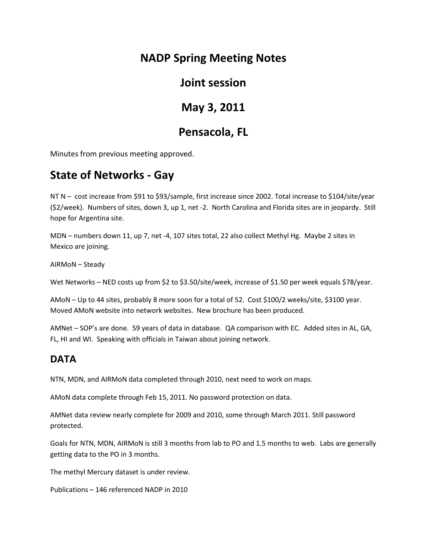## **NADP Spring Meeting Notes**

#### **Joint session**

## **May 3, 2011**

### **Pensacola, FL**

Minutes from previous meeting approved.

#### **State of Networks - Gay**

NT N – cost increase from \$91 to \$93/sample, first increase since 2002. Total increase to \$104/site/year (\$2/week). Numbers of sites, down 3, up 1, net -2. North Carolina and Florida sites are in jeopardy. Still hope for Argentina site.

MDN – numbers down 11, up 7, net -4, 107 sites total, 22 also collect Methyl Hg. Maybe 2 sites in Mexico are joining.

AIRMoN – Steady

Wet Networks – NED costs up from \$2 to \$3.50/site/week, increase of \$1.50 per week equals \$78/year.

AMoN – Up to 44 sites, probably 8 more soon for a total of 52. Cost \$100/2 weeks/site, \$3100 year. Moved AMoN website into network websites. New brochure has been produced.

AMNet – SOP's are done. 59 years of data in database. QA comparison with EC. Added sites in AL, GA, FL, HI and WI. Speaking with officials in Taiwan about joining network.

#### **DATA**

NTN, MDN, and AIRMoN data completed through 2010, next need to work on maps.

AMoN data complete through Feb 15, 2011. No password protection on data.

AMNet data review nearly complete for 2009 and 2010, some through March 2011. Still password protected.

Goals for NTN, MDN, AIRMoN is still 3 months from lab to PO and 1.5 months to web. Labs are generally getting data to the PO in 3 months.

The methyl Mercury dataset is under review.

Publications – 146 referenced NADP in 2010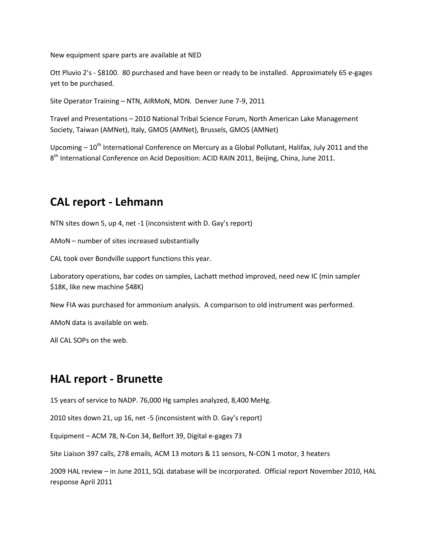New equipment spare parts are available at NED

Ott Pluvio 2's - \$8100. 80 purchased and have been or ready to be installed. Approximately 65 e-gages yet to be purchased.

Site Operator Training – NTN, AIRMoN, MDN. Denver June 7-9, 2011

Travel and Presentations – 2010 National Tribal Science Forum, North American Lake Management Society, Taiwan (AMNet), Italy, GMOS (AMNet), Brussels, GMOS (AMNet)

Upcoming  $-10^{th}$  International Conference on Mercury as a Global Pollutant, Halifax, July 2011 and the 8<sup>th</sup> International Conference on Acid Deposition: ACID RAIN 2011, Beijing, China, June 2011.

#### **CAL report - Lehmann**

NTN sites down 5, up 4, net -1 (inconsistent with D. Gay's report)

AMoN – number of sites increased substantially

CAL took over Bondville support functions this year.

Laboratory operations, bar codes on samples, Lachatt method improved, need new IC (min sampler \$18K, like new machine \$48K)

New FIA was purchased for ammonium analysis. A comparison to old instrument was performed.

AMoN data is available on web.

All CAL SOPs on the web.

#### **HAL report - Brunette**

15 years of service to NADP. 76,000 Hg samples analyzed, 8,400 MeHg.

2010 sites down 21, up 16, net -5 (inconsistent with D. Gay's report)

Equipment – ACM 78, N-Con 34, Belfort 39, Digital e-gages 73

Site Liaison 397 calls, 278 emails, ACM 13 motors & 11 sensors, N-CON 1 motor, 3 heaters

2009 HAL review – in June 2011, SQL database will be incorporated. Official report November 2010, HAL response April 2011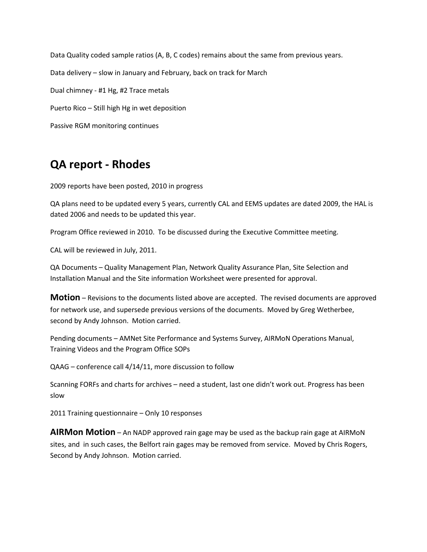Data Quality coded sample ratios (A, B, C codes) remains about the same from previous years. Data delivery – slow in January and February, back on track for March Dual chimney - #1 Hg, #2 Trace metals Puerto Rico – Still high Hg in wet deposition Passive RGM monitoring continues

### **QA report - Rhodes**

2009 reports have been posted, 2010 in progress

QA plans need to be updated every 5 years, currently CAL and EEMS updates are dated 2009, the HAL is dated 2006 and needs to be updated this year.

Program Office reviewed in 2010. To be discussed during the Executive Committee meeting.

CAL will be reviewed in July, 2011.

QA Documents – Quality Management Plan, Network Quality Assurance Plan, Site Selection and Installation Manual and the Site information Worksheet were presented for approval.

**Motion** – Revisions to the documents listed above are accepted. The revised documents are approved for network use, and supersede previous versions of the documents. Moved by Greg Wetherbee, second by Andy Johnson. Motion carried.

Pending documents – AMNet Site Performance and Systems Survey, AIRMoN Operations Manual, Training Videos and the Program Office SOPs

QAAG – conference call 4/14/11, more discussion to follow

Scanning FORFs and charts for archives – need a student, last one didn't work out. Progress has been slow

2011 Training questionnaire – Only 10 responses

**AIRMon Motion** – An NADP approved rain gage may be used as the backup rain gage at AIRMoN sites, and in such cases, the Belfort rain gages may be removed from service. Moved by Chris Rogers, Second by Andy Johnson. Motion carried.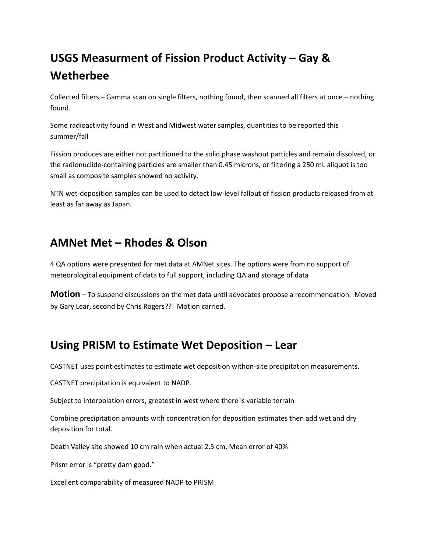# **USGS Measurment of Fission Product Activity – Gay & Wetherbee**

Collected filters – Gamma scan on single filters, nothing found, then scanned all filters at once – nothing found.

Some radioactivity found in West and Midwest water samples, quantities to be reported this summer/fall

Fission produces are either not partitioned to the solid phase washout particles and remain dissolved, or the radionuclide-containing particles are smaller than 0.45 microns, or filtering a 250 mL aliquot is too small as composite samples showed no activity.

NTN wet-deposition samples can be used to detect low-level fallout of fission products released from at least as far away as Japan.

### **AMNet Met – Rhodes & Olson**

4 QA options were presented for met data at AMNet sites. The options were from no support of meteorological equipment of data to full support, including QA and storage of data

**Motion** – To suspend discussions on the met data until advocates propose a recommendation. Moved by Gary Lear, second by Chris Rogers?? Motion carried.

## **Using PRISM to Estimate Wet Deposition – Lear**

CASTNET uses point estimates to estimate wet deposition withon-site precipitation measurements.

CASTNET precipitation is equivalent to NADP.

Subject to interpolation errors, greatest in west where there is variable terrain

Combine precipitation amounts with concentration for deposition estimates then add wet and dry deposition for total.

Death Valley site showed 10 cm rain when actual 2.5 cm, Mean error of 40%

Prism error is "pretty darn good."

Excellent comparability of measured NADP to PRISM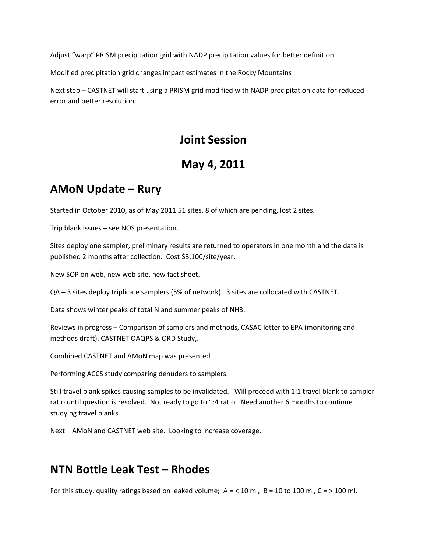Adjust "warp" PRISM precipitation grid with NADP precipitation values for better definition

Modified precipitation grid changes impact estimates in the Rocky Mountains

Next step – CASTNET will start using a PRISM grid modified with NADP precipitation data for reduced error and better resolution.

## **Joint Session**

## **May 4, 2011**

### **AMoN Update – Rury**

Started in October 2010, as of May 2011 51 sites, 8 of which are pending, lost 2 sites.

Trip blank issues – see NOS presentation.

Sites deploy one sampler, preliminary results are returned to operators in one month and the data is published 2 months after collection. Cost \$3,100/site/year.

New SOP on web, new web site, new fact sheet.

QA – 3 sites deploy triplicate samplers (5% of network). 3 sites are collocated with CASTNET.

Data shows winter peaks of total N and summer peaks of NH3.

Reviews in progress – Comparison of samplers and methods, CASAC letter to EPA (monitoring and methods draft), CASTNET OAQPS & ORD Study,.

Combined CASTNET and AMoN map was presented

Performing ACCS study comparing denuders to samplers.

Still travel blank spikes causing samples to be invalidated. Will proceed with 1:1 travel blank to sampler ratio until question is resolved. Not ready to go to 1:4 ratio. Need another 6 months to continue studying travel blanks.

Next – AMoN and CASTNET web site. Looking to increase coverage.

#### **NTN Bottle Leak Test – Rhodes**

For this study, quality ratings based on leaked volume;  $A = 10$  ml,  $B = 10$  to 100 ml,  $C = 100$  ml.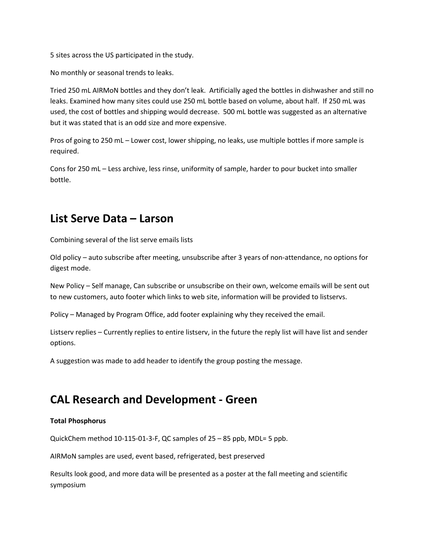5 sites across the US participated in the study.

No monthly or seasonal trends to leaks.

Tried 250 mL AIRMoN bottles and they don't leak. Artificially aged the bottles in dishwasher and still no leaks. Examined how many sites could use 250 mL bottle based on volume, about half. If 250 mL was used, the cost of bottles and shipping would decrease. 500 mL bottle was suggested as an alternative but it was stated that is an odd size and more expensive.

Pros of going to 250 mL – Lower cost, lower shipping, no leaks, use multiple bottles if more sample is required.

Cons for 250 mL – Less archive, less rinse, uniformity of sample, harder to pour bucket into smaller bottle.

#### **List Serve Data – Larson**

Combining several of the list serve emails lists

Old policy – auto subscribe after meeting, unsubscribe after 3 years of non-attendance, no options for digest mode.

New Policy – Self manage, Can subscribe or unsubscribe on their own, welcome emails will be sent out to new customers, auto footer which links to web site, information will be provided to listservs.

Policy – Managed by Program Office, add footer explaining why they received the email.

Listserv replies – Currently replies to entire listserv, in the future the reply list will have list and sender options.

A suggestion was made to add header to identify the group posting the message.

#### **CAL Research and Development - Green**

#### **Total Phosphorus**

QuickChem method 10-115-01-3-F, QC samples of 25 – 85 ppb, MDL= 5 ppb.

AIRMoN samples are used, event based, refrigerated, best preserved

Results look good, and more data will be presented as a poster at the fall meeting and scientific symposium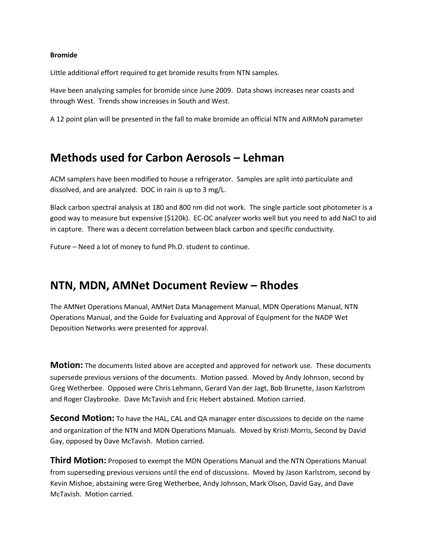#### **Bromide**

Little additional effort required to get bromide results from NTN samples.

Have been analyzing samples for bromide since June 2009. Data shows increases near coasts and through West. Trends show increases in South and West.

A 12 point plan will be presented in the fall to make bromide an official NTN and AIRMoN parameter

#### **Methods used for Carbon Aerosols – Lehman**

ACM samplers have been modified to house a refrigerator. Samples are split into particulate and dissolved, and are analyzed. DOC in rain is up to 3 mg/L.

Black carbon spectral analysis at 180 and 800 nm did not work. The single particle soot photometer is a good way to measure but expensive (\$120k). EC-OC analyzer works well but you need to add NaCl to aid in capture. There was a decent correlation between black carbon and specific conductivity.

Future – Need a lot of money to fund Ph.D. student to continue.

#### **NTN, MDN, AMNet Document Review – Rhodes**

The AMNet Operations Manual, AMNet Data Management Manual, MDN Operations Manual, NTN Operations Manual, and the Guide for Evaluating and Approval of Equipment for the NADP Wet Deposition Networks were presented for approval.

**Motion:** The documents listed above are accepted and approved for network use. These documents supersede previous versions of the documents. Motion passed. Moved by Andy Johnson, second by Greg Wetherbee. Opposed were Chris Lehmann, Gerard Van der Jagt, Bob Brunette, Jason Karlstrom and Roger Claybrooke. Dave McTavish and Eric Hebert abstained. Motion carried.

**Second Motion:** To have the HAL, CAL and QA manager enter discussions to decide on the name and organization of the NTN and MDN Operations Manuals. Moved by Kristi Morris, Second by David Gay, opposed by Dave McTavish. Motion carried.

**Third Motion:** Proposed to exempt the MDN Operations Manual and the NTN Operations Manual from superseding previous versions until the end of discussions. Moved by Jason Karlstrom, second by Kevin Mishoe, abstaining were Greg Wetherbee, Andy Johnson, Mark Olson, David Gay, and Dave McTavish. Motion carried.